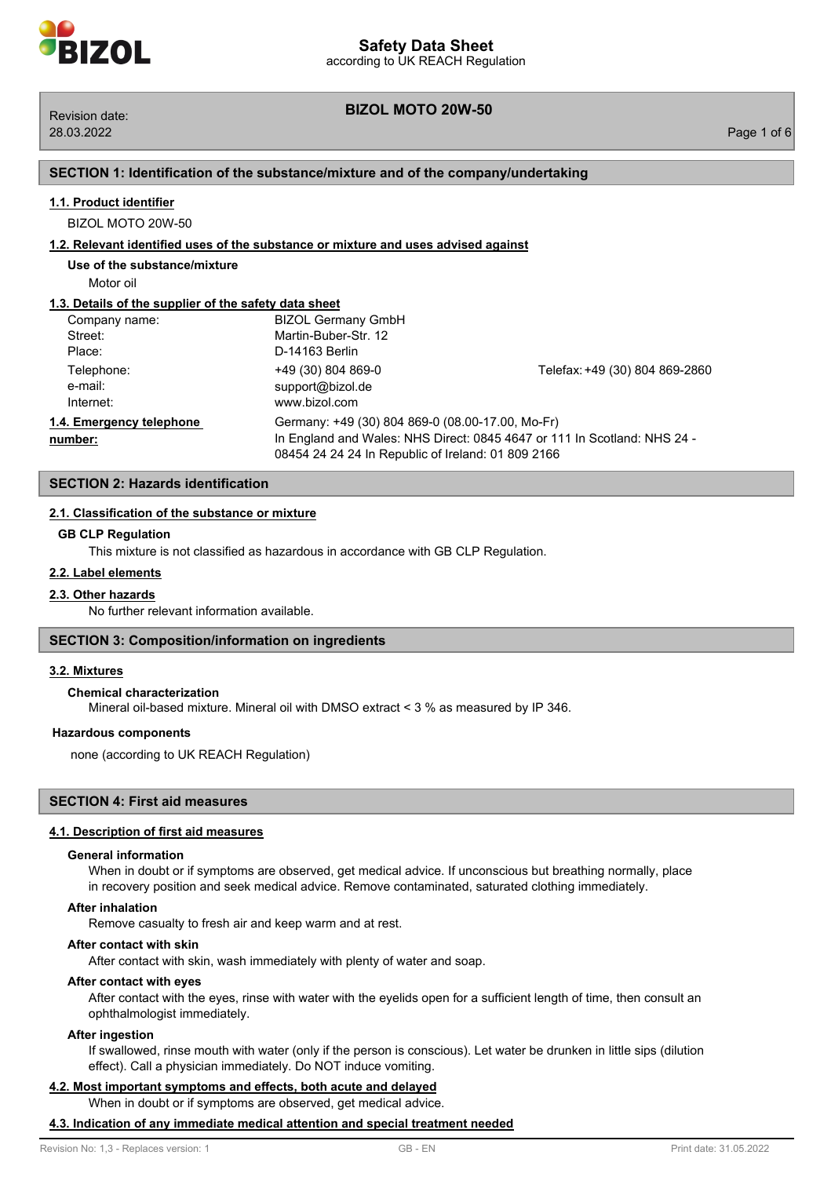# **BIZOL MOTO 20W-50** Revision date:

# **SECTION 1: Identification of the substance/mixture and of the company/undertaking**

# **1.1. Product identifier**

BIZOL MOTO 20W-50

# **1.2. Relevant identified uses of the substance or mixture and uses advised against**

**Use of the substance/mixture**

Motor oil

# **1.3. Details of the supplier of the safety data sheet**

| Company name:                       | <b>BIZOL Germany GmbH</b>                               |                                                                                                                                                                                    |  |
|-------------------------------------|---------------------------------------------------------|------------------------------------------------------------------------------------------------------------------------------------------------------------------------------------|--|
| Street:                             | Martin-Buber-Str. 12                                    |                                                                                                                                                                                    |  |
| Place:                              | D-14163 Berlin                                          |                                                                                                                                                                                    |  |
| Telephone:<br>e-mail:<br>Internet:  | +49 (30) 804 869-0<br>support@bizol.de<br>www.bizol.com | Telefax: +49 (30) 804 869-2860                                                                                                                                                     |  |
| 1.4. Emergency telephone<br>number: |                                                         | Germany: +49 (30) 804 869-0 (08.00-17.00, Mo-Fr)<br>In England and Wales: NHS Direct: 0845 4647 or 111 In Scotland: NHS 24 -<br>08454 24 24 24 In Republic of Ireland: 01 809 2166 |  |

# **SECTION 2: Hazards identification**

# **2.1. Classification of the substance or mixture**

### **GB CLP Regulation**

This mixture is not classified as hazardous in accordance with GB CLP Regulation.

### **2.2. Label elements**

# **2.3. Other hazards**

No further relevant information available.

# **SECTION 3: Composition/information on ingredients**

# **3.2. Mixtures**

# **Chemical characterization**

Mineral oil-based mixture. Mineral oil with DMSO extract < 3 % as measured by IP 346.

#### **Hazardous components**

none (according to UK REACH Regulation)

# **SECTION 4: First aid measures**

#### **4.1. Description of first aid measures**

#### **General information**

When in doubt or if symptoms are observed, get medical advice. If unconscious but breathing normally, place in recovery position and seek medical advice. Remove contaminated, saturated clothing immediately.

### **After inhalation**

Remove casualty to fresh air and keep warm and at rest.

# **After contact with skin**

After contact with skin, wash immediately with plenty of water and soap.

#### **After contact with eyes**

After contact with the eyes, rinse with water with the eyelids open for a sufficient length of time, then consult an ophthalmologist immediately.

#### **After ingestion**

If swallowed, rinse mouth with water (only if the person is conscious). Let water be drunken in little sips (dilution effect). Call a physician immediately. Do NOT induce vomiting.

# **4.2. Most important symptoms and effects, both acute and delayed**

When in doubt or if symptoms are observed, get medical advice.

# **4.3. Indication of any immediate medical attention and special treatment needed**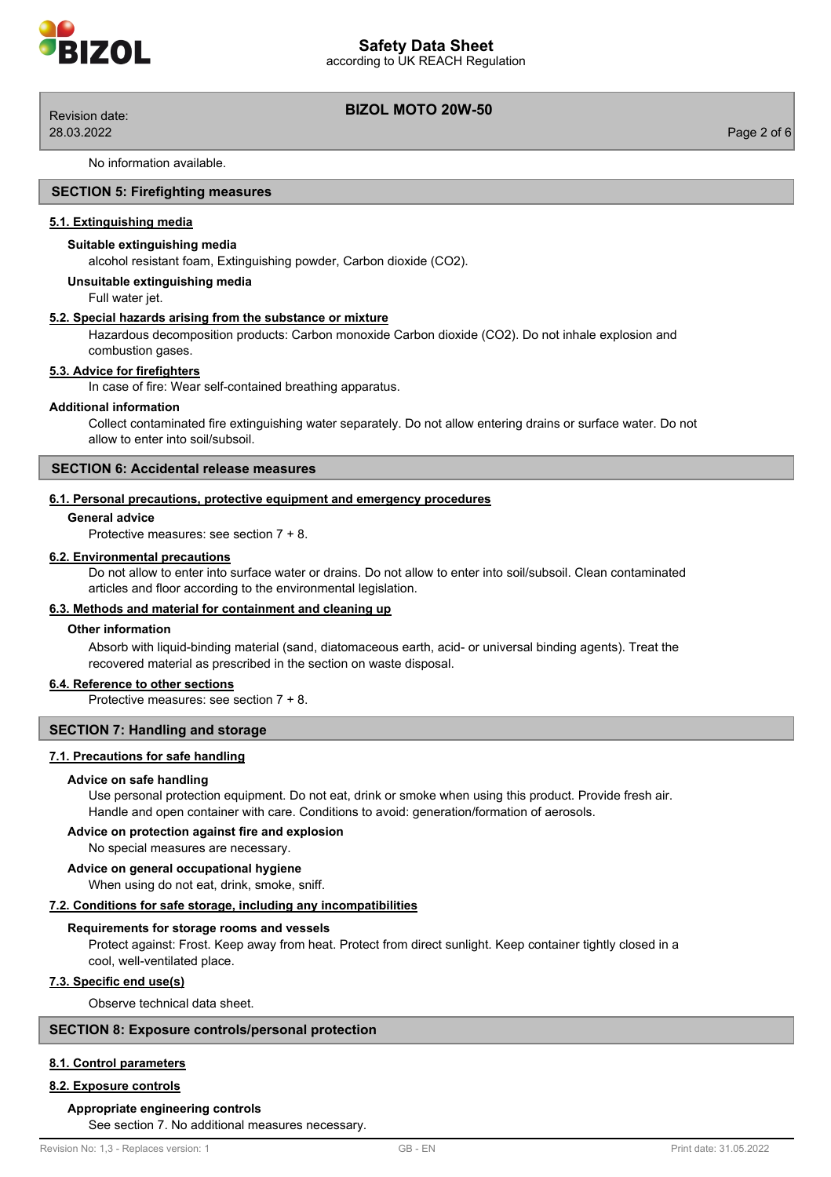

28.03.2022 Page 2 of 6

# **BIZOL MOTO 20W-50** Revision date:

No information available.

# **SECTION 5: Firefighting measures**

#### **5.1. Extinguishing media**

#### **Suitable extinguishing media**

alcohol resistant foam, Extinguishing powder, Carbon dioxide (CO2).

# **Unsuitable extinguishing media**

Full water jet.

### **5.2. Special hazards arising from the substance or mixture**

Hazardous decomposition products: Carbon monoxide Carbon dioxide (CO2). Do not inhale explosion and combustion gases.

#### **5.3. Advice for firefighters**

In case of fire: Wear self-contained breathing apparatus.

#### **Additional information**

Collect contaminated fire extinguishing water separately. Do not allow entering drains or surface water. Do not allow to enter into soil/subsoil.

# **SECTION 6: Accidental release measures**

### **6.1. Personal precautions, protective equipment and emergency procedures**

# **General advice**

Protective measures: see section 7 + 8.

#### **6.2. Environmental precautions**

Do not allow to enter into surface water or drains. Do not allow to enter into soil/subsoil. Clean contaminated articles and floor according to the environmental legislation.

# **6.3. Methods and material for containment and cleaning up**

#### **Other information**

Absorb with liquid-binding material (sand, diatomaceous earth, acid- or universal binding agents). Treat the recovered material as prescribed in the section on waste disposal.

#### **6.4. Reference to other sections**

Protective measures: see section 7 + 8.

# **SECTION 7: Handling and storage**

#### **7.1. Precautions for safe handling**

#### **Advice on safe handling**

Use personal protection equipment. Do not eat, drink or smoke when using this product. Provide fresh air. Handle and open container with care. Conditions to avoid: generation/formation of aerosols.

# **Advice on protection against fire and explosion**

No special measures are necessary.

# **Advice on general occupational hygiene**

When using do not eat, drink, smoke, sniff.

#### **7.2. Conditions for safe storage, including any incompatibilities**

#### **Requirements for storage rooms and vessels**

Protect against: Frost. Keep away from heat. Protect from direct sunlight. Keep container tightly closed in a cool, well-ventilated place.

# **7.3. Specific end use(s)**

Observe technical data sheet.

# **SECTION 8: Exposure controls/personal protection**

# **8.1. Control parameters**

# **8.2. Exposure controls**

# **Appropriate engineering controls**

See section 7. No additional measures necessary.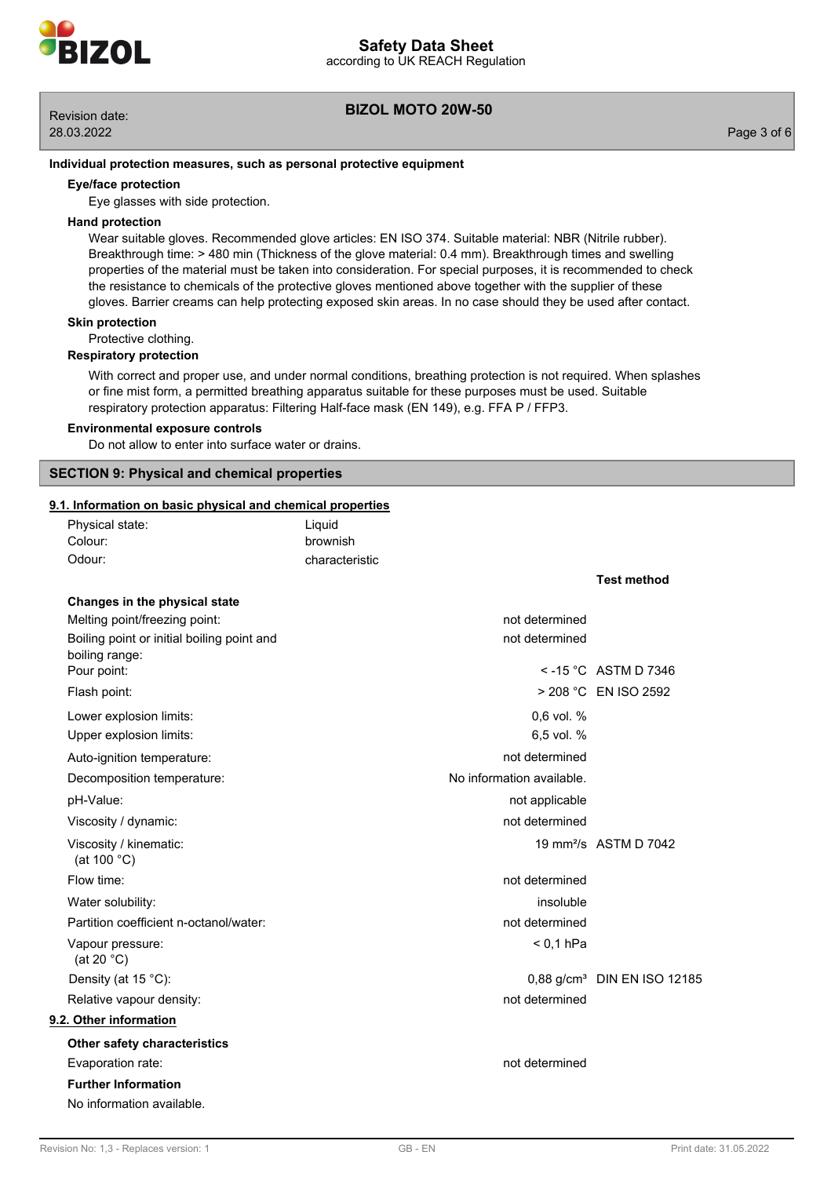

# **BIZOL MOTO 20W-50** Revision date:

28.03.2022 Page 3 of 6

# **Individual protection measures, such as personal protective equipment**

#### **Eye/face protection**

Eye glasses with side protection.

#### **Hand protection**

Wear suitable gloves. Recommended glove articles: EN ISO 374. Suitable material: NBR (Nitrile rubber). Breakthrough time: > 480 min (Thickness of the glove material: 0.4 mm). Breakthrough times and swelling properties of the material must be taken into consideration. For special purposes, it is recommended to check the resistance to chemicals of the protective gloves mentioned above together with the supplier of these gloves. Barrier creams can help protecting exposed skin areas. In no case should they be used after contact.

#### **Skin protection**

Protective clothing.

#### **Respiratory protection**

With correct and proper use, and under normal conditions, breathing protection is not required. When splashes or fine mist form, a permitted breathing apparatus suitable for these purposes must be used. Suitable respiratory protection apparatus: Filtering Half-face mask (EN 149), e.g. FFA P / FFP3.

#### **Environmental exposure controls**

Do not allow to enter into surface water or drains.

### **SECTION 9: Physical and chemical properties**

#### **9.1. Information on basic physical and chemical properties**

| Physical state:                                              | Liquid         |                           |                                         |
|--------------------------------------------------------------|----------------|---------------------------|-----------------------------------------|
| Colour:                                                      | brownish       |                           |                                         |
| Odour:                                                       | characteristic |                           |                                         |
|                                                              |                |                           | <b>Test method</b>                      |
| Changes in the physical state                                |                |                           |                                         |
| Melting point/freezing point:                                |                | not determined            |                                         |
| Boiling point or initial boiling point and<br>boiling range: |                | not determined            |                                         |
| Pour point:                                                  |                |                           | $<$ -15 °C ASTM D 7346                  |
| Flash point:                                                 |                |                           | > 208 °C EN ISO 2592                    |
| Lower explosion limits:                                      |                | 0,6 vol. %                |                                         |
| Upper explosion limits:                                      |                | 6,5 vol. %                |                                         |
| Auto-ignition temperature:                                   |                | not determined            |                                         |
| Decomposition temperature:                                   |                | No information available. |                                         |
| pH-Value:                                                    |                | not applicable            |                                         |
| Viscosity / dynamic:                                         |                | not determined            |                                         |
| Viscosity / kinematic:<br>(at 100 °C)                        |                |                           | 19 mm <sup>2</sup> /s ASTM D 7042       |
| Flow time:                                                   |                | not determined            |                                         |
| Water solubility:                                            |                | insoluble                 |                                         |
| Partition coefficient n-octanol/water:                       |                | not determined            |                                         |
| Vapour pressure:<br>(at 20 $°C$ )                            |                | $< 0.1$ hPa               |                                         |
| Density (at 15 °C):                                          |                |                           | 0,88 g/cm <sup>3</sup> DIN EN ISO 12185 |
| Relative vapour density:                                     |                | not determined            |                                         |
| 9.2. Other information                                       |                |                           |                                         |
| Other safety characteristics                                 |                |                           |                                         |
| Evaporation rate:                                            |                | not determined            |                                         |
| <b>Further Information</b>                                   |                |                           |                                         |
| No information available.                                    |                |                           |                                         |
|                                                              |                |                           |                                         |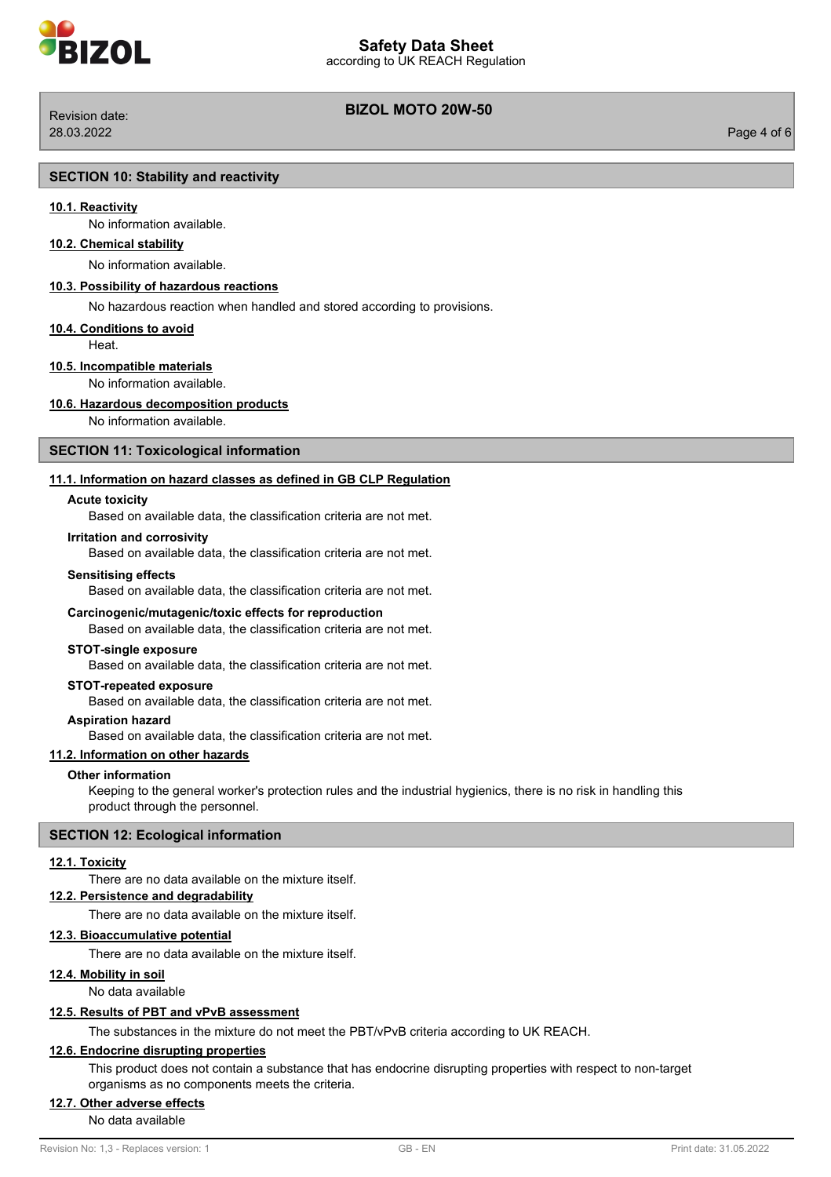

according to UK REACH Regulation

28.03.2022 Page 4 of 6

# **BIZOL MOTO 20W-50** Revision date:

# **SECTION 10: Stability and reactivity**

# **10.1. Reactivity**

No information available.

# **10.2. Chemical stability**

No information available.

### **10.3. Possibility of hazardous reactions**

No hazardous reaction when handled and stored according to provisions.

### **10.4. Conditions to avoid**

Heat.

# **10.5. Incompatible materials**

No information available.

# **10.6. Hazardous decomposition products**

No information available.

# **SECTION 11: Toxicological information**

### **11.1. Information on hazard classes as defined in GB CLP Regulation**

### **Acute toxicity**

Based on available data, the classification criteria are not met.

### **Irritation and corrosivity**

Based on available data, the classification criteria are not met.

#### **Sensitising effects**

Based on available data, the classification criteria are not met.

# **Carcinogenic/mutagenic/toxic effects for reproduction**

Based on available data, the classification criteria are not met.

# **STOT-single exposure**

Based on available data, the classification criteria are not met.

# **STOT-repeated exposure**

Based on available data, the classification criteria are not met.

# **Aspiration hazard**

Based on available data, the classification criteria are not met.

#### **11.2. Information on other hazards**

#### **Other information**

Keeping to the general worker's protection rules and the industrial hygienics, there is no risk in handling this product through the personnel.

# **SECTION 12: Ecological information**

# **12.1. Toxicity**

There are no data available on the mixture itself.

# **12.2. Persistence and degradability**

There are no data available on the mixture itself.

# **12.3. Bioaccumulative potential**

There are no data available on the mixture itself.

# **12.4. Mobility in soil**

No data available

#### **12.5. Results of PBT and vPvB assessment**

The substances in the mixture do not meet the PBT/vPvB criteria according to UK REACH.

#### **12.6. Endocrine disrupting properties**

This product does not contain a substance that has endocrine disrupting properties with respect to non-target organisms as no components meets the criteria.

# **12.7. Other adverse effects**

No data available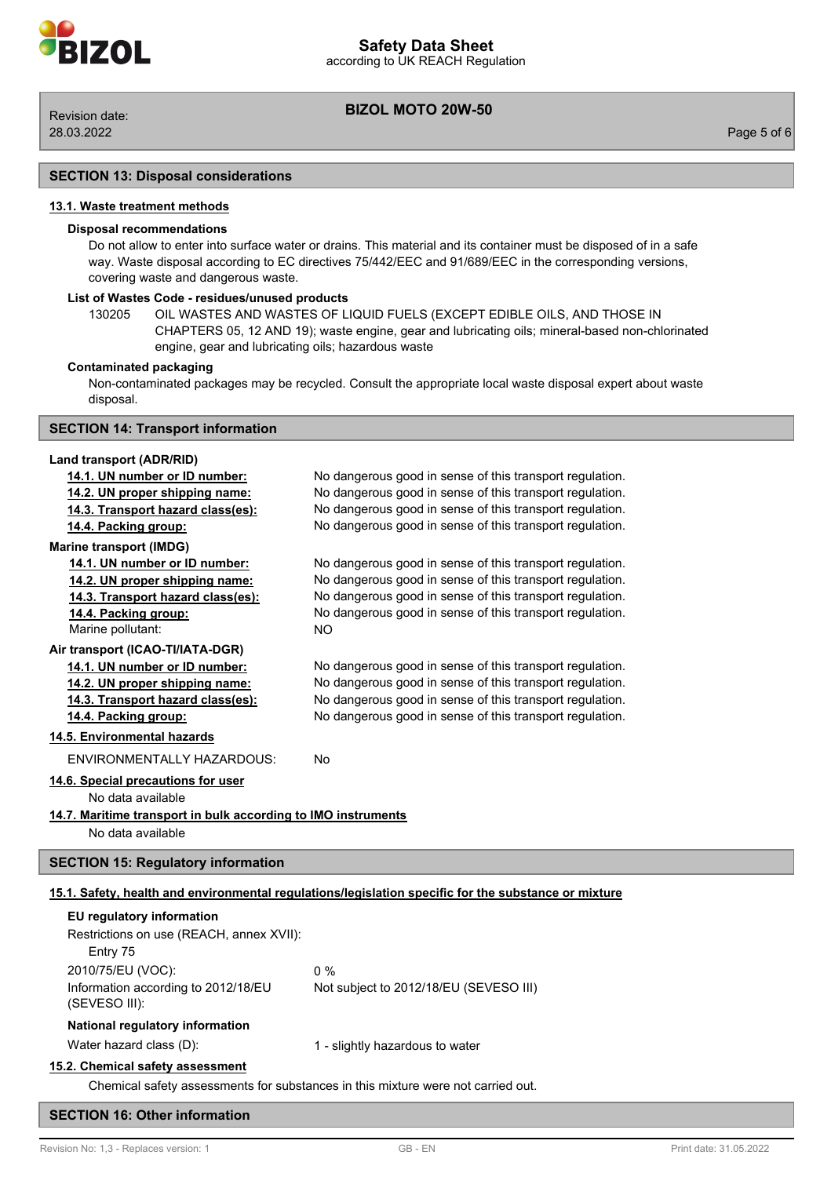

28.03.2022 Page 5 of 6

# **BIZOL MOTO 20W-50** Revision date:

# **SECTION 13: Disposal considerations**

# **13.1. Waste treatment methods**

# **Disposal recommendations**

Do not allow to enter into surface water or drains. This material and its container must be disposed of in a safe way. Waste disposal according to EC directives 75/442/EEC and 91/689/EEC in the corresponding versions, covering waste and dangerous waste.

### **List of Wastes Code - residues/unused products**

```
130205 OIL WASTES AND WASTES OF LIQUID FUELS (EXCEPT EDIBLE OILS, AND THOSE IN 
CHAPTERS 05, 12 AND 19); waste engine, gear and lubricating oils; mineral-based non-chlorinated 
engine, gear and lubricating oils; hazardous waste
```
#### **Contaminated packaging**

Non-contaminated packages may be recycled. Consult the appropriate local waste disposal expert about waste disposal.

### **SECTION 14: Transport information**

# **Land transport (ADR/RID)**

| 14.1. UN number or ID number:                                                    | No dangerous good in sense of this transport regulation.                                             |  |  |  |
|----------------------------------------------------------------------------------|------------------------------------------------------------------------------------------------------|--|--|--|
| 14.2. UN proper shipping name:                                                   | No dangerous good in sense of this transport regulation.                                             |  |  |  |
| 14.3. Transport hazard class(es):                                                | No dangerous good in sense of this transport regulation.                                             |  |  |  |
| 14.4. Packing group:                                                             | No dangerous good in sense of this transport regulation.                                             |  |  |  |
| <b>Marine transport (IMDG)</b>                                                   |                                                                                                      |  |  |  |
| 14.1. UN number or ID number:                                                    | No dangerous good in sense of this transport regulation.                                             |  |  |  |
| 14.2. UN proper shipping name:                                                   | No dangerous good in sense of this transport regulation.                                             |  |  |  |
| 14.3. Transport hazard class(es):                                                | No dangerous good in sense of this transport regulation.                                             |  |  |  |
| 14.4. Packing group:                                                             | No dangerous good in sense of this transport regulation.                                             |  |  |  |
| Marine pollutant:                                                                | <b>NO</b>                                                                                            |  |  |  |
| Air transport (ICAO-TI/IATA-DGR)                                                 |                                                                                                      |  |  |  |
| 14.1. UN number or ID number:                                                    | No dangerous good in sense of this transport regulation.                                             |  |  |  |
| 14.2. UN proper shipping name:                                                   | No dangerous good in sense of this transport regulation.                                             |  |  |  |
| 14.3. Transport hazard class(es):                                                | No dangerous good in sense of this transport regulation.                                             |  |  |  |
| 14.4. Packing group:                                                             | No dangerous good in sense of this transport regulation.                                             |  |  |  |
| 14.5. Environmental hazards                                                      |                                                                                                      |  |  |  |
| <b>ENVIRONMENTALLY HAZARDOUS:</b>                                                | No                                                                                                   |  |  |  |
| 14.6. Special precautions for user                                               |                                                                                                      |  |  |  |
| No data available                                                                |                                                                                                      |  |  |  |
| 14.7. Maritime transport in bulk according to IMO instruments                    |                                                                                                      |  |  |  |
| No data available                                                                |                                                                                                      |  |  |  |
| <b>SECTION 15: Regulatory information</b>                                        |                                                                                                      |  |  |  |
|                                                                                  | 15.1. Safety, health and environmental regulations/legislation specific for the substance or mixture |  |  |  |
| EU regulatory information                                                        |                                                                                                      |  |  |  |
| Restrictions on use (REACH, annex XVII):                                         |                                                                                                      |  |  |  |
| Entry 75                                                                         |                                                                                                      |  |  |  |
| 2010/75/EU (VOC):                                                                | $0\%$                                                                                                |  |  |  |
| Information according to 2012/18/EU                                              | Not subject to 2012/18/EU (SEVESO III)                                                               |  |  |  |
| (SEVESO III):                                                                    |                                                                                                      |  |  |  |
| National regulatory information                                                  |                                                                                                      |  |  |  |
| Water hazard class (D):                                                          | 1 - slightly hazardous to water                                                                      |  |  |  |
| 15.2. Chemical safety assessment                                                 |                                                                                                      |  |  |  |
| Chemical safety assessments for substances in this mixture were not carried out. |                                                                                                      |  |  |  |
|                                                                                  |                                                                                                      |  |  |  |

# **SECTION 16: Other information**